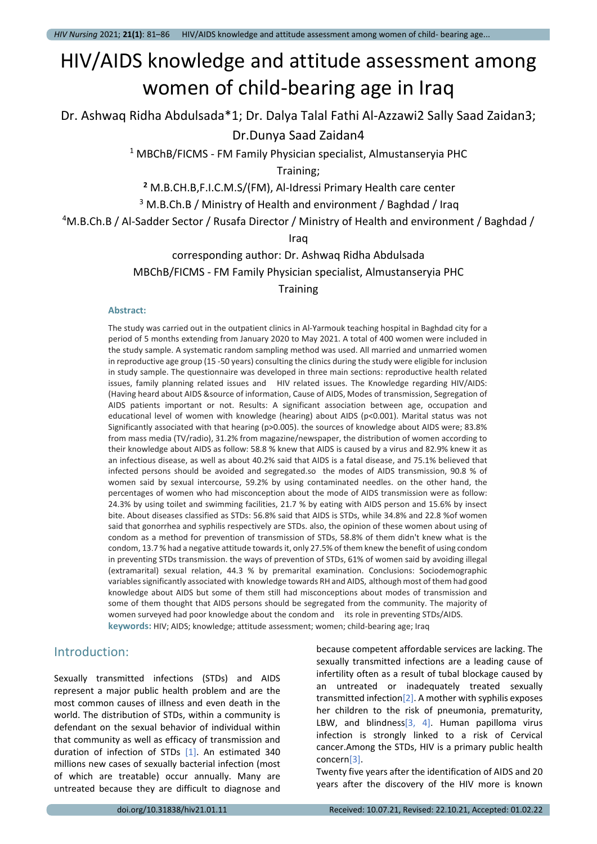# HIV/AIDS knowledge and attitude assessment among women of child-bearing age in Iraq

Dr. Ashwaq Ridha Abdulsada\*1; Dr. Dalya Talal Fathi Al-Azzawi2 Sally Saad Zaidan3;

# Dr.Dunya Saad Zaidan4

<sup>1</sup> MBChB/FICMS - FM Family Physician specialist, Almustanseryia PHC

Training;

**<sup>2</sup>** M.B.CH.B,F.I.C.M.S/(FM), Al-Idressi Primary Health care center

<sup>3</sup> M.B.Ch.B / Ministry of Health and environment / Baghdad / Iraq

<sup>4</sup>M.B.Ch.B / Al-Sadder Sector / Rusafa Director / Ministry of Health and environment / Baghdad /

Iraq

# corresponding author: Dr. Ashwaq Ridha Abdulsada MBChB/FICMS - FM Family Physician specialist, Almustanseryia PHC **Training**

#### **Abstract:**

The study was carried out in the outpatient clinics in Al-Yarmouk teaching hospital in Baghdad city for a period of 5 months extending from January 2020 to May 2021. A total of 400 women were included in the study sample. A systematic random sampling method was used. All married and unmarried women in reproductive age group (15 -50 years) consulting the clinics during the study were eligible for inclusion in study sample. The questionnaire was developed in three main sections: reproductive health related issues, family planning related issues and HIV related issues. The Knowledge regarding HIV/AIDS: (Having heard about AIDS &source of information, Cause of AIDS, Modes of transmission, Segregation of AIDS patients important or not. Results: A significant association between age, occupation and educational level of women with knowledge (hearing) about AIDS (p<0.001). Marital status was not Significantly associated with that hearing (p>0.005). the sources of knowledge about AIDS were; 83.8% from mass media (TV/radio), 31.2% from magazine/newspaper, the distribution of women according to their knowledge about AIDS as follow: 58.8 % knew that AIDS is caused by a virus and 82.9% knew it as an infectious disease, as well as about 40.2% said that AIDS is a fatal disease, and 75.1% believed that infected persons should be avoided and segregated.so the modes of AIDS transmission, 90.8 % of women said by sexual intercourse, 59.2% by using contaminated needles. on the other hand, the percentages of women who had misconception about the mode of AIDS transmission were as follow: 24.3% by using toilet and swimming facilities, 21.7 % by eating with AIDS person and 15.6% by insect bite. About diseases classified as STDs: 56.8% said that AIDS is STDs, while 34.8% and 22.8 %of women said that gonorrhea and syphilis respectively are STDs. also, the opinion of these women about using of condom as a method for prevention of transmission of STDs, 58.8% of them didn't knew what is the condom, 13.7 % had a negative attitude towards it, only 27.5% of them knew the benefit of using condom in preventing STDs transmission. the ways of prevention of STDs, 61% of women said by avoiding illegal (extramarital) sexual relation, 44.3 % by premarital examination. Conclusions: Sociodemographic variables significantly associated withknowledge towards RH and AIDS,although most of them had good knowledge about AIDS but some of them still had misconceptions about modes of transmission and some of them thought that AIDS persons should be segregated from the community. The majority of women surveyed had poor knowledge about the condom and its role in preventing STDs/AIDS. **keywords:** HIV; AIDS; knowledge; attitude assessment; women; child-bearing age; Iraq

# Introduction:

Sexually transmitted infections (STDs) and AIDS represent a major public health problem and are the most common causes of illness and even death in the world. The distribution of STDs, within a community is defendant on the sexual behavior of individual within that community as well as efficacy of transmission and duration of infection of STDs [1]. An estimated 340 millions new cases of sexually bacterial infection (most of which are treatable) occur annually. Many are untreated because they are difficult to diagnose and

because competent affordable services are lacking. The sexually transmitted infections are a leading cause of infertility often as a result of tubal blockage caused by an untreated or inadequately treated sexually transmitted infection[2]. A mother with syphilis exposes her children to the risk of pneumonia, prematurity, LBW, and blindness[3, 4]. Human papilloma virus infection is strongly linked to a risk of Cervical cancer.Among the STDs, HIV is a primary public health concern[3].

Twenty five years after the identification of AIDS and 20 years after the discovery of the HIV more is known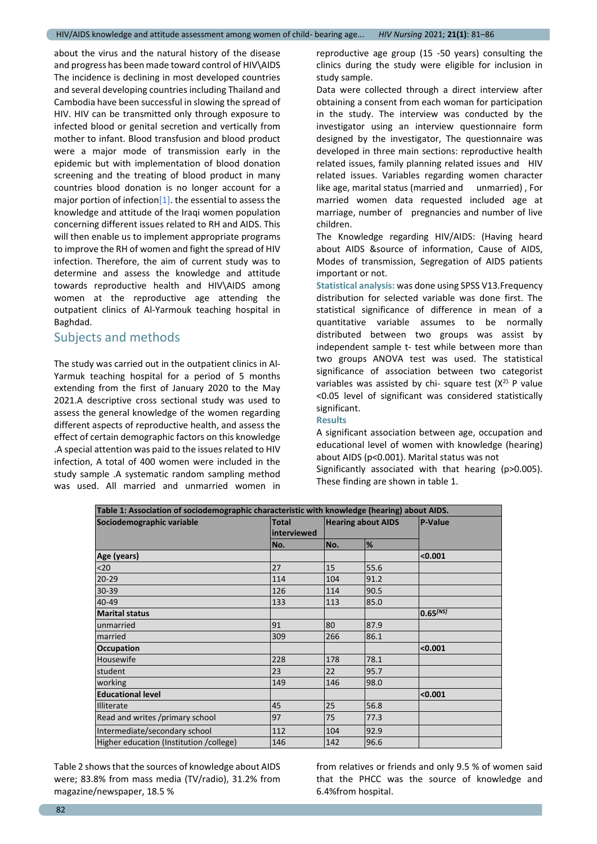about the virus and the natural history of the disease and progress has been made toward control of HIV\AIDS The incidence is declining in most developed countries and several developing countries including Thailand and Cambodia have been successful in slowing the spread of HIV. HIV can be transmitted only through exposure to infected blood or genital secretion and vertically from mother to infant. Blood transfusion and blood product were a major mode of transmission early in the epidemic but with implementation of blood donation screening and the treating of blood product in many countries blood donation is no longer account for a major portion of infection $[1]$ . the essential to assess the knowledge and attitude of the Iraqi women population concerning different issues related to RH and AIDS. This will then enable us to implement appropriate programs to improve the RH of women and fight the spread of HIV infection. Therefore, the aim of current study was to determine and assess the knowledge and attitude towards reproductive health and HIV\AIDS among women at the reproductive age attending the outpatient clinics of Al-Yarmouk teaching hospital in Baghdad.

## Subjects and methods

The study was carried out in the outpatient clinics in Al-Yarmuk teaching hospital for a period of 5 months extending from the first of January 2020 to the May 2021.A descriptive cross sectional study was used to assess the general knowledge of the women regarding different aspects of reproductive health, and assess the effect of certain demographic factors on this knowledge .A special attention was paid to the issues related to HIV infection, A total of 400 women were included in the study sample .A systematic random sampling method was used. All married and unmarried women in

reproductive age group (15 -50 years) consulting the clinics during the study were eligible for inclusion in study sample.

Data were collected through a direct interview after obtaining a consent from each woman for participation in the study. The interview was conducted by the investigator using an interview questionnaire form designed by the investigator, The questionnaire was developed in three main sections: reproductive health related issues, family planning related issues and HIV related issues. Variables regarding women character like age, marital status (married and unmarried) , For married women data requested included age at marriage, number of pregnancies and number of live children.

The Knowledge regarding HIV/AIDS: (Having heard about AIDS &source of information, Cause of AIDS, Modes of transmission, Segregation of AIDS patients important or not.

**Statistical analysis:** was done using SPSS V13.Frequency distribution for selected variable was done first. The statistical significance of difference in mean of a quantitative variable assumes to be normally distributed between two groups was assist by independent sample t- test while between more than two groups ANOVA test was used. The statistical significance of association between two categorist variables was assisted by chi- square test  $(X^{2)}$ . P value <0.05 level of significant was considered statistically significant.

#### **Results**

A significant association between age, occupation and educational level of women with knowledge (hearing) about AIDS (p<0.001). Marital status was not

Significantly associated with that hearing (p>0.005). These finding are shown in table 1.

| Table 1: Association of sociodemographic characteristic with knowledge (hearing) about AIDS. |                             |                           |               |                |
|----------------------------------------------------------------------------------------------|-----------------------------|---------------------------|---------------|----------------|
| Sociodemographic variable                                                                    | <b>Total</b><br>interviewed | <b>Hearing about AIDS</b> |               | <b>P-Value</b> |
|                                                                                              | No.                         | No.                       | $\frac{9}{6}$ |                |
| Age (years)                                                                                  |                             |                           |               | < 0.001        |
| $20$                                                                                         | 27                          | 15                        | 55.6          |                |
| $20 - 29$                                                                                    | 114                         | 104                       | 91.2          |                |
| 30-39                                                                                        | 126                         | 114                       | 90.5          |                |
| 40-49                                                                                        | 133                         | 113                       | 85.0          |                |
| <b>Marital status</b>                                                                        |                             |                           |               | $0.65^{[NS]}$  |
| unmarried                                                                                    | 91                          | 80                        | 87.9          |                |
| married                                                                                      | 309                         | 266                       | 86.1          |                |
| <b>Occupation</b>                                                                            |                             |                           |               | < 0.001        |
| Housewife                                                                                    | 228                         | 178                       | 78.1          |                |
| student                                                                                      | 23                          | 22                        | 95.7          |                |
| working                                                                                      | 149                         | 146                       | 98.0          |                |
| <b>Educational level</b>                                                                     |                             |                           |               | < 0.001        |
| Illiterate                                                                                   | 45                          | 25                        | 56.8          |                |
| Read and writes /primary school                                                              | 97                          | 75                        | 77.3          |                |
| Intermediate/secondary school                                                                | 112                         | 104                       | 92.9          |                |
| Higher education (Institution / college)                                                     | 146                         | 142                       | 96.6          |                |

Table 2 shows that the sources of knowledge about AIDS were; 83.8% from mass media (TV/radio), 31.2% from magazine/newspaper, 18.5 %

from relatives or friends and only 9.5 % of women said that the PHCC was the source of knowledge and 6.4%from hospital.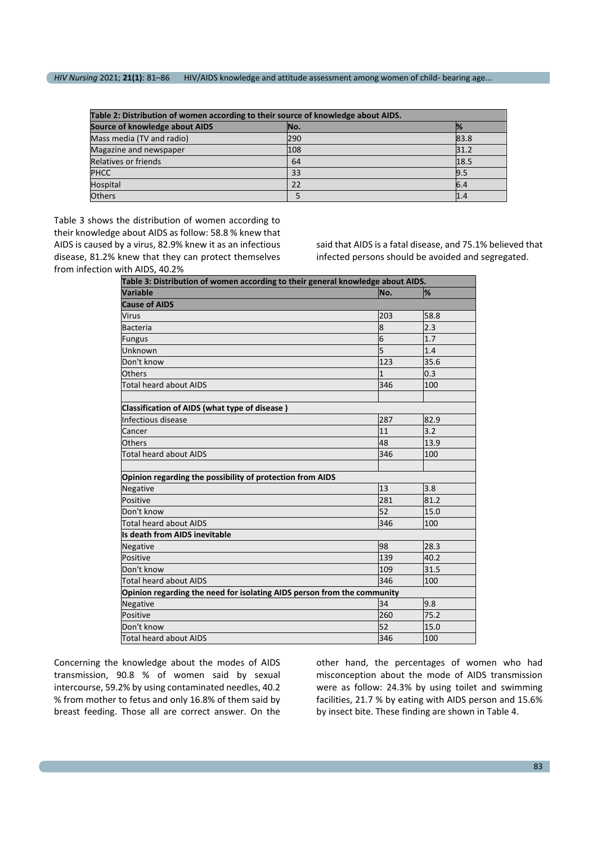| Table 2: Distribution of women according to their source of knowledge about AIDS. |     |      |  |
|-----------------------------------------------------------------------------------|-----|------|--|
| Source of knowledge about AIDS                                                    | No. |      |  |
| Mass media (TV and radio)                                                         | 290 | 83.8 |  |
| Magazine and newspaper                                                            | 108 | 31.2 |  |
| Relatives or friends                                                              | 64  | 18.5 |  |
| <b>PHCC</b>                                                                       | 33  | 9.5  |  |
| Hospital                                                                          | 22  | 6.4  |  |
| <b>Others</b>                                                                     |     |      |  |

Table 3 shows the distribution of women according to their knowledge about AIDS as follow: 58.8 % knew that AIDS is caused by a virus, 82.9% knew it as an infectious disease, 81.2% knew that they can protect themselves from infection with AIDS, 40.2%

said that AIDS is a fatal disease, and 75.1% believed that infected persons should be avoided and segregated.

| Table 3: Distribution of women according to their general knowledge about AIDS. |                |      |  |
|---------------------------------------------------------------------------------|----------------|------|--|
| Variable                                                                        | No.            | %    |  |
| <b>Cause of AIDS</b>                                                            |                |      |  |
| <b>Virus</b>                                                                    | 203            | 58.8 |  |
| <b>Bacteria</b>                                                                 | $\overline{8}$ | 2.3  |  |
| <b>Fungus</b>                                                                   | 6              | 1.7  |  |
| Unknown                                                                         | 5              | 1.4  |  |
| Don't know                                                                      | 123            | 35.6 |  |
| Others                                                                          | $\mathbf{1}$   | 0.3  |  |
| <b>Total heard about AIDS</b>                                                   | 346            | 100  |  |
|                                                                                 |                |      |  |
| Classification of AIDS (what type of disease)                                   |                |      |  |
| Infectious disease                                                              | 287            | 82.9 |  |
| Cancer                                                                          | 11             | 3.2  |  |
| Others                                                                          | 48             | 13.9 |  |
| <b>Total heard about AIDS</b>                                                   | 346            | 100  |  |
|                                                                                 |                |      |  |
| Opinion regarding the possibility of protection from AIDS                       |                |      |  |
| Negative                                                                        | 13             | 3.8  |  |
| Positive                                                                        | 281            | 81.2 |  |
| Don't know                                                                      | 52             | 15.0 |  |
| Total heard about AIDS                                                          | 346            | 100  |  |
| Is death from AIDS inevitable                                                   |                |      |  |
| Negative                                                                        | 98             | 28.3 |  |
| Positive                                                                        | 139            | 40.2 |  |
| Don't know                                                                      | 109            | 31.5 |  |
| Total heard about AIDS                                                          | 346            | 100  |  |
| Opinion regarding the need for isolating AIDS person from the community         |                |      |  |
| <b>Negative</b>                                                                 | 34             | 9.8  |  |
| Positive                                                                        | 260            | 75.2 |  |
| Don't know                                                                      | 52             | 15.0 |  |
| <b>Total heard about AIDS</b>                                                   | 346            | 100  |  |

Concerning the knowledge about the modes of AIDS transmission, 90.8 % of women said by sexual intercourse, 59.2% by using contaminated needles, 40.2 % from mother to fetus and only 16.8% of them said by breast feeding. Those all are correct answer. On the

other hand, the percentages of women who had misconception about the mode of AIDS transmission were as follow: 24.3% by using toilet and swimming facilities, 21.7 % by eating with AIDS person and 15.6% by insect bite. These finding are shown in Table 4.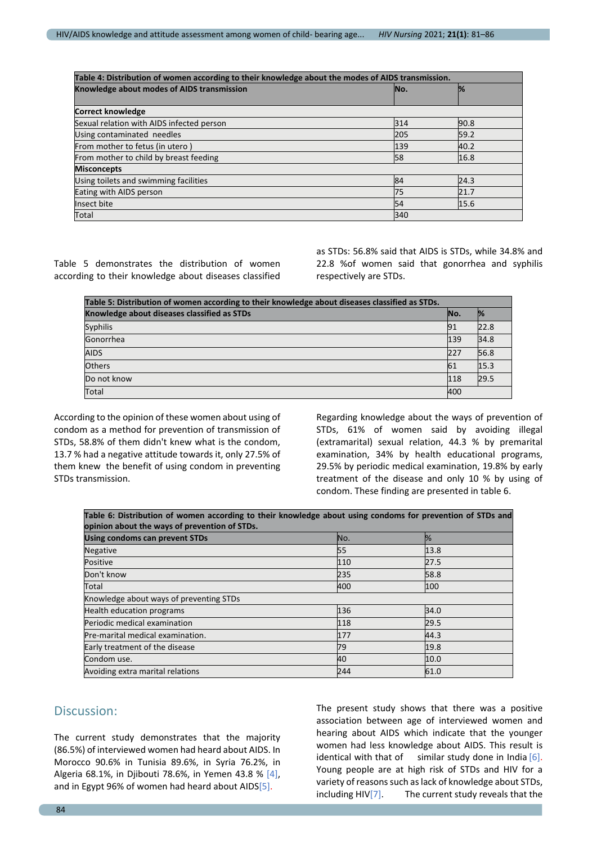| Table 4: Distribution of women according to their knowledge about the modes of AIDS transmission. |     |               |  |
|---------------------------------------------------------------------------------------------------|-----|---------------|--|
| Knowledge about modes of AIDS transmission                                                        | No. | $\frac{1}{2}$ |  |
| <b>Correct knowledge</b>                                                                          |     |               |  |
| Sexual relation with AIDS infected person                                                         | 314 | 90.8          |  |
| Using contaminated needles                                                                        | 205 | 59.2          |  |
| From mother to fetus (in utero)                                                                   | 139 | 40.2          |  |
| From mother to child by breast feeding                                                            | 58  | 16.8          |  |
| <b>Misconcepts</b>                                                                                |     |               |  |
| Using toilets and swimming facilities                                                             | 84  | 24.3          |  |
| Eating with AIDS person                                                                           | 75  | 21.7          |  |
| Insect bite                                                                                       | 54  | 15.6          |  |
| Total                                                                                             | 340 |               |  |

Table 5 demonstrates the distribution of women according to their knowledge about diseases classified as STDs: 56.8% said that AIDS is STDs, while 34.8% and 22.8 %of women said that gonorrhea and syphilis respectively are STDs.

| Table 5: Distribution of women according to their knowledge about diseases classified as STDs. |     |      |
|------------------------------------------------------------------------------------------------|-----|------|
| Knowledge about diseases classified as STDs                                                    | No. | %    |
| Syphilis                                                                                       | 91  | 22.8 |
| Gonorrhea                                                                                      | 139 | 34.8 |
| <b>AIDS</b>                                                                                    | 227 | 56.8 |
| <b>Others</b>                                                                                  | 61  | 15.3 |
| Do not know                                                                                    | 118 | 29.5 |
| Total                                                                                          | 400 |      |

According to the opinion of these women about using of condom as a method for prevention of transmission of STDs, 58.8% of them didn't knew what is the condom, 13.7 % had a negative attitude towards it, only 27.5% of them knew the benefit of using condom in preventing STDs transmission.

Regarding knowledge about the ways of prevention of STDs, 61% of women said by avoiding illegal (extramarital) sexual relation, 44.3 % by premarital examination, 34% by health educational programs, 29.5% by periodic medical examination, 19.8% by early treatment of the disease and only 10 % by using of condom. These finding are presented in table 6.

| Table 6: Distribution of women according to their knowledge about using condoms for prevention of STDs and |     |      |  |
|------------------------------------------------------------------------------------------------------------|-----|------|--|
| opinion about the ways of prevention of STDs.                                                              |     |      |  |
| <b>Using condoms can prevent STDs</b>                                                                      | No. | $\%$ |  |
| <b>Negative</b>                                                                                            | 55  | 13.8 |  |
| Positive                                                                                                   | 110 | 27.5 |  |
| Don't know                                                                                                 | 235 | 58.8 |  |
| Total                                                                                                      | 400 | 100  |  |
| Knowledge about ways of preventing STDs                                                                    |     |      |  |
| <b>Health education programs</b>                                                                           | 136 | 34.0 |  |
| Periodic medical examination                                                                               | 118 | 29.5 |  |
| Pre-marital medical examination.                                                                           | 177 | 44.3 |  |
| Early treatment of the disease                                                                             | 79  | 19.8 |  |
| Condom use.                                                                                                | 40  | 10.0 |  |
| Avoiding extra marital relations                                                                           | 244 | 61.0 |  |

# Discussion:

The current study demonstrates that the majority (86.5%) of interviewed women had heard about AIDS. In Morocco 90.6% in Tunisia 89.6%, in Syria 76.2%, in Algeria 68.1%, in Djibouti 78.6%, in Yemen 43.8 % [4], and in Egypt 96% of women had heard about AIDS[5].

The present study shows that there was a positive association between age of interviewed women and hearing about AIDS which indicate that the younger women had less knowledge about AIDS. This result is identical with that of similar study done in India  $[6]$ . Young people are at high risk of STDs and HIV for a variety of reasons such as lack of knowledge about STDs, including  $HIV[7]$ . The current study reveals that the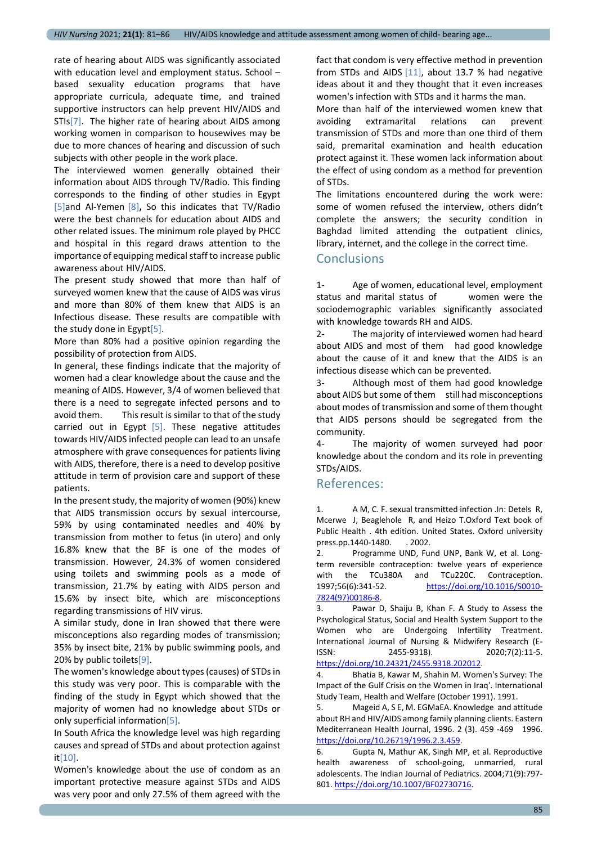rate of hearing about AIDS was significantly associated with education level and employment status. School – based sexuality education programs that have appropriate curricula, adequate time, and trained supportive instructors can help prevent HIV/AIDS and STIs[7]. The higher rate of hearing about AIDS among working women in comparison to housewives may be due to more chances of hearing and discussion of such subjects with other people in the work place.

The interviewed women generally obtained their information about AIDS through TV/Radio. This finding corresponds to the finding of other studies in Egypt [5]and Al-Yemen [8]**,** So this indicates that TV/Radio were the best channels for education about AIDS and other related issues. The minimum role played by PHCC and hospital in this regard draws attention to the importance of equipping medical staff to increase public awareness about HIV/AIDS.

The present study showed that more than half of surveyed women knew that the cause of AIDS was virus and more than 80% of them knew that AIDS is an Infectious disease. These results are compatible with the study done in Egypt[5].

More than 80% had a positive opinion regarding the possibility of protection from AIDS.

In general, these findings indicate that the majority of women had a clear knowledge about the cause and the meaning of AIDS. However, 3/4 of women believed that there is a need to segregate infected persons and to avoid them. This result is similar to that of the study carried out in Egypt  $[5]$ . These negative attitudes towards HIV/AIDS infected people can lead to an unsafe atmosphere with grave consequences for patients living with AIDS, therefore, there is a need to develop positive attitude in term of provision care and support of these patients.

In the present study, the majority of women (90%) knew that AIDS transmission occurs by sexual intercourse, 59% by using contaminated needles and 40% by transmission from mother to fetus (in utero) and only 16.8% knew that the BF is one of the modes of transmission. However, 24.3% of women considered using toilets and swimming pools as a mode of transmission, 21.7% by eating with AIDS person and 15.6% by insect bite, which are misconceptions regarding transmissions of HIV virus.

A similar study, done in Iran showed that there were misconceptions also regarding modes of transmission; 35% by insect bite, 21% by public swimming pools, and 20% by public toilets $[9]$ .

The women's knowledge about types (causes) of STDs in this study was very poor. This is comparable with the finding of the study in Egypt which showed that the majority of women had no knowledge about STDs or only superficial information[5].

In South Africa the knowledge level was high regarding causes and spread of STDs and about protection against it[10].

Women's knowledge about the use of condom as an important protective measure against STDs and AIDS was very poor and only 27.5% of them agreed with the

fact that condom is very effective method in prevention from STDs and AIDS  $[11]$ , about 13.7 % had negative ideas about it and they thought that it even increases women's infection with STDs and it harms the man.

More than half of the interviewed women knew that avoiding extramarital relations can prevent transmission of STDs and more than one third of them said, premarital examination and health education protect against it. These women lack information about the effect of using condom as a method for prevention of STDs.

The limitations encountered during the work were: some of women refused the interview, others didn't complete the answers; the security condition in Baghdad limited attending the outpatient clinics, library, internet, and the college in the correct time.

#### **Conclusions**

1- Age of women, educational level, employment status and marital status of women were the sociodemographic variables significantly associated with knowledge towards RH and AIDS.

2- The majority of interviewed women had heard about AIDS and most of them had good knowledge about the cause of it and knew that the AIDS is an infectious disease which can be prevented.

3- Although most of them had good knowledge about AIDS but some of them still had misconceptions about modes of transmission and some of them thought that AIDS persons should be segregated from the community.

4- The majority of women surveyed had poor knowledge about the condom and its role in preventing STDs/AIDS.

## References:

1. A M, C. F. sexual transmitted infection .In: Detels R, Mcerwe J, Beaglehole R, and Heizo T.Oxford Text book of Public Health . 4th edition. United States. Oxford university press.pp.1440-1480. . 2002.

2. Programme UND, Fund UNP, Bank W, et al. Longterm reversible contraception: twelve years of experience with the TCu380A and TCu220C. Contraception. 1997;56(6):341-52. [https://doi.org/10.1016/S0010-](https://doi.org/10.1016/S0010-7824(97)00186-8) [7824\(97\)00186-8.](https://doi.org/10.1016/S0010-7824(97)00186-8) 

3. Pawar D, Shaiju B, Khan F. A Study to Assess the Psychological Status, Social and Health System Support to the Women who are Undergoing Infertility Treatment. International Journal of Nursing & Midwifery Research (E-ISSN: 2455-9318). 2020;7(2):11-5.

```
https://doi.org/10.24321/2455.9318.202012.
```
4. Bhatia B, Kawar M, Shahin M. Women's Survey: The Impact of the Gulf Crisis on the Women in Iraq'. International Study Team, Health and Welfare (October 1991). 1991.

5. Mageid A, S E, M. EGMaEA. Knowledge and attitude about RH and HIV/AIDS among family planning clients. Eastern Mediterranean Health Journal, 1996. 2 (3). 459 -469 1996. [https://doi.org/10.26719/1996.2.3.459.](https://doi.org/10.26719/1996.2.3.459)

6. Gupta N, Mathur AK, Singh MP, et al. Reproductive health awareness of school-going, unmarried, rural adolescents. The Indian Journal of Pediatrics. 2004;71(9):797- 801[. https://doi.org/10.1007/BF02730716.](https://doi.org/10.1007/BF02730716)